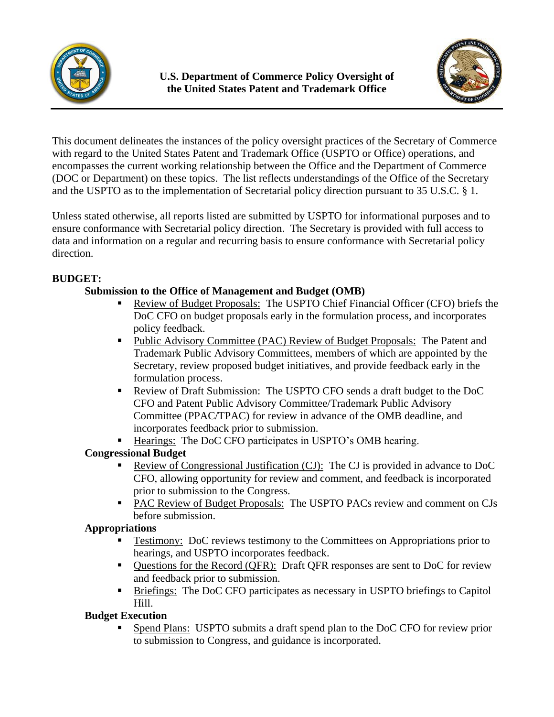



This document delineates the instances of the policy oversight practices of the Secretary of Commerce with regard to the United States Patent and Trademark Office (USPTO or Office) operations, and encompasses the current working relationship between the Office and the Department of Commerce (DOC or Department) on these topics. The list reflects understandings of the Office of the Secretary and the USPTO as to the implementation of Secretarial policy direction pursuant to 35 U.S.C. § 1.

Unless stated otherwise, all reports listed are submitted by USPTO for informational purposes and to ensure conformance with Secretarial policy direction. The Secretary is provided with full access to data and information on a regular and recurring basis to ensure conformance with Secretarial policy direction.

# **BUDGET:**

## **Submission to the Office of Management and Budget (OMB)**

- Review of Budget Proposals: The USPTO Chief Financial Officer (CFO) briefs the DoC CFO on budget proposals early in the formulation process, and incorporates policy feedback.
- Public Advisory Committee (PAC) Review of Budget Proposals:The Patent and Trademark Public Advisory Committees, members of which are appointed by the Secretary, review proposed budget initiatives, and provide feedback early in the formulation process.
- Review of Draft Submission:The USPTO CFO sends a draft budget to the DoC CFO and Patent Public Advisory Committee/Trademark Public Advisory Committee (PPAC/TPAC) for review in advance of the OMB deadline, and incorporates feedback prior to submission.
- Hearings: The DoC CFO participates in USPTO's OMB hearing.

# **Congressional Budget**

- Review of Congressional Justification (CJ):The CJ is provided in advance to DoC CFO, allowing opportunity for review and comment, and feedback is incorporated prior to submission to the Congress.
- **PAC Review of Budget Proposals: The USPTO PACs review and comment on CJs** before submission.

## **Appropriations**

- Testimony:DoC reviews testimony to the Committees on Appropriations prior to hearings, and USPTO incorporates feedback.
- Questions for the Record (QFR): Draft QFR responses are sent to DoC for review and feedback prior to submission.
- Briefings: The DoC CFO participates as necessary in USPTO briefings to Capitol Hill.

## **Budget Execution**

 Spend Plans:USPTO submits a draft spend plan to the DoC CFO for review prior to submission to Congress, and guidance is incorporated.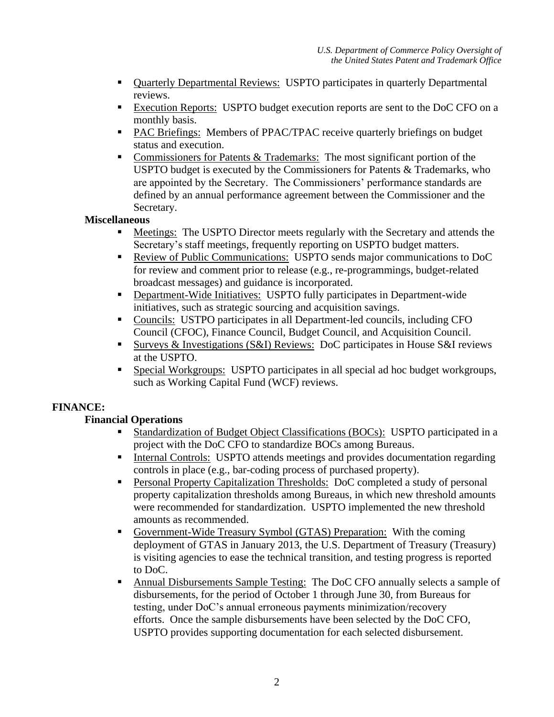- Quarterly Departmental Reviews:USPTO participates in quarterly Departmental reviews.
- Execution Reports:USPTO budget execution reports are sent to the DoC CFO on a monthly basis.
- **PAC Briefings:** Members of PPAC/TPAC receive quarterly briefings on budget status and execution.
- Commissioners for Patents  $&$  Trademarks: The most significant portion of the USPTO budget is executed by the Commissioners for Patents & Trademarks, who are appointed by the Secretary. The Commissioners' performance standards are defined by an annual performance agreement between the Commissioner and the Secretary.

## **Miscellaneous**

- Meetings: The USPTO Director meets regularly with the Secretary and attends the Secretary's staff meetings, frequently reporting on USPTO budget matters.
- Review of Public Communications:USPTO sends major communications to DoC for review and comment prior to release (e.g., re-programmings, budget-related broadcast messages) and guidance is incorporated.
- Department-Wide Initiatives:USPTO fully participates in Department-wide initiatives, such as strategic sourcing and acquisition savings.
- Councils:USTPO participates in all Department-led councils, including CFO Council (CFOC), Finance Council, Budget Council, and Acquisition Council.
- Surveys & Investigations (S&I) Reviews:DoC participates in House S&I reviews at the USPTO.
- Special Workgroups:USPTO participates in all special ad hoc budget workgroups, such as Working Capital Fund (WCF) reviews.

## **FINANCE:**

# **Financial Operations**

- Standardization of Budget Object Classifications (BOCs):USPTO participated in a project with the DoC CFO to standardize BOCs among Bureaus.
- Internal Controls: USPTO attends meetings and provides documentation regarding controls in place (e.g., bar-coding process of purchased property).
- Personal Property Capitalization Thresholds:DoC completed a study of personal property capitalization thresholds among Bureaus, in which new threshold amounts were recommended for standardization. USPTO implemented the new threshold amounts as recommended.
- Government-Wide Treasury Symbol (GTAS) Preparation:With the coming deployment of GTAS in January 2013, the U.S. Department of Treasury (Treasury) is visiting agencies to ease the technical transition, and testing progress is reported to DoC.
- Annual Disbursements Sample Testing: The DoC CFO annually selects a sample of disbursements, for the period of October 1 through June 30, from Bureaus for testing, under DoC's annual erroneous payments minimization/recovery efforts. Once the sample disbursements have been selected by the DoC CFO, USPTO provides supporting documentation for each selected disbursement.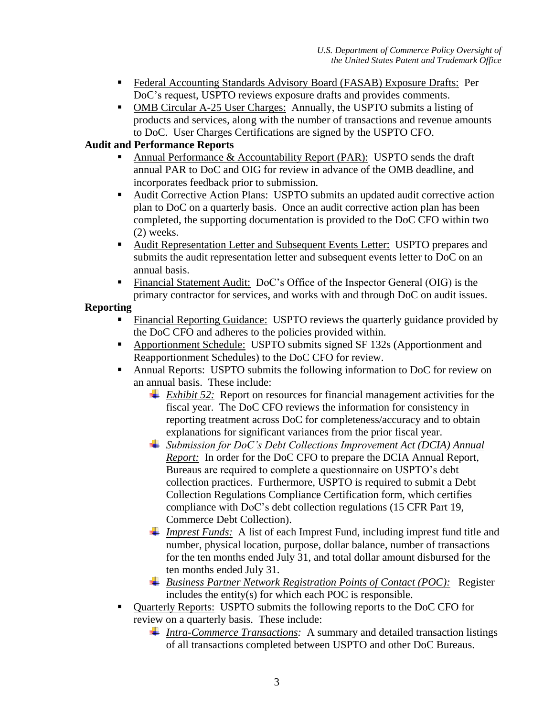- Federal Accounting Standards Advisory Board (FASAB) Exposure Drafts:Per DoC's request, USPTO reviews exposure drafts and provides comments.
- OMB Circular A-25 User Charges: Annually, the USPTO submits a listing of products and services, along with the number of transactions and revenue amounts to DoC. User Charges Certifications are signed by the USPTO CFO.

## **Audit and Performance Reports**

- Annual Performance & Accountability Report (PAR):USPTO sends the draft annual PAR to DoC and OIG for review in advance of the OMB deadline, and incorporates feedback prior to submission.
- Audit Corrective Action Plans:USPTO submits an updated audit corrective action plan to DoC on a quarterly basis. Once an audit corrective action plan has been completed, the supporting documentation is provided to the DoC CFO within two (2) weeks.
- Audit Representation Letter and Subsequent Events Letter:USPTO prepares and submits the audit representation letter and subsequent events letter to DoC on an annual basis.
- Financial Statement Audit: DoC's Office of the Inspector General (OIG) is the primary contractor for services, and works with and through DoC on audit issues.

## **Reporting**

- Financial Reporting Guidance:USPTO reviews the quarterly guidance provided by the DoC CFO and adheres to the policies provided within.
- Apportionment Schedule:USPTO submits signed SF 132s (Apportionment and Reapportionment Schedules) to the DoC CFO for review.
- Annual Reports: USPTO submits the following information to DoC for review on an annual basis. These include:
	- *Exhibit 52:* Report on resources for financial management activities for the fiscal year. The DoC CFO reviews the information for consistency in reporting treatment across DoC for completeness/accuracy and to obtain explanations for significant variances from the prior fiscal year.
	- *Submission for DoC's Debt Collections Improvement Act (DCIA) Annual Report:* In order for the DoC CFO to prepare the DCIA Annual Report, Bureaus are required to complete a questionnaire on USPTO's debt collection practices. Furthermore, USPTO is required to submit a Debt Collection Regulations Compliance Certification form, which certifies compliance with DoC's debt collection regulations (15 CFR Part 19, Commerce Debt Collection).
	- *Imprest Funds:* A list of each Imprest Fund, including imprest fund title and number, physical location, purpose, dollar balance, number of transactions for the ten months ended July 31, and total dollar amount disbursed for the ten months ended July 31.
	- *Business Partner Network Registration Points of Contact (POC):* Register includes the entity(s) for which each POC is responsible.
- Quarterly Reports:USPTO submits the following reports to the DoC CFO for review on a quarterly basis. These include:
	- *Intra-Commerce Transactions:* A summary and detailed transaction listings of all transactions completed between USPTO and other DoC Bureaus.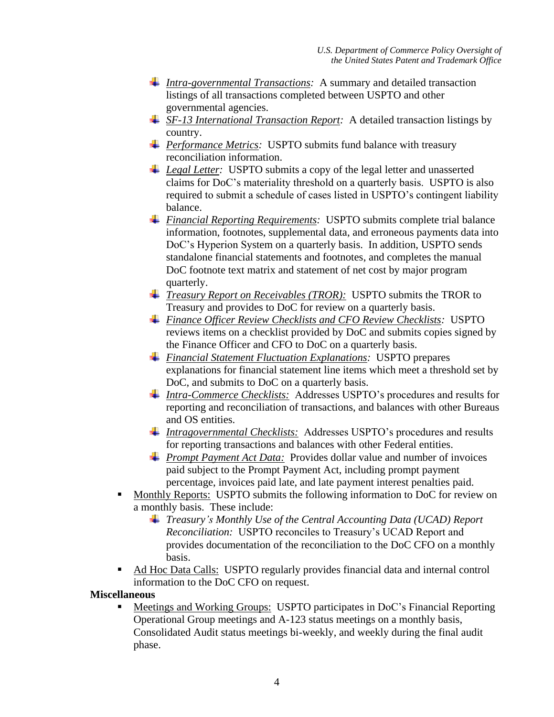- *Intra-governmental Transactions:* A summary and detailed transaction listings of all transactions completed between USPTO and other governmental agencies.
- *SF-13 International Transaction Report:* A detailed transaction listings by country.
- *Performance Metrics:* USPTO submits fund balance with treasury reconciliation information.
- *Legal Letter:* USPTO submits a copy of the legal letter and unasserted claims for DoC's materiality threshold on a quarterly basis. USPTO is also required to submit a schedule of cases listed in USPTO's contingent liability balance.
- *Financial Reporting Requirements:* USPTO submits complete trial balance information, footnotes, supplemental data, and erroneous payments data into DoC's Hyperion System on a quarterly basis. In addition, USPTO sends standalone financial statements and footnotes, and completes the manual DoC footnote text matrix and statement of net cost by major program quarterly.
- *Treasury Report on Receivables (TROR):* USPTO submits the TROR to Treasury and provides to DoC for review on a quarterly basis.
- *Finance Officer Review Checklists and CFO Review Checklists:* USPTO reviews items on a checklist provided by DoC and submits copies signed by the Finance Officer and CFO to DoC on a quarterly basis.
- *Financial Statement Fluctuation Explanations:* USPTO prepares explanations for financial statement line items which meet a threshold set by DoC, and submits to DoC on a quarterly basis.
- *Intra-Commerce Checklists:* Addresses USPTO's procedures and results for reporting and reconciliation of transactions, and balances with other Bureaus and OS entities.
- *Intragovernmental Checklists:* Addresses USPTO's procedures and results for reporting transactions and balances with other Federal entities.
- **Prompt Payment Act Data:** Provides dollar value and number of invoices paid subject to the Prompt Payment Act, including prompt payment percentage, invoices paid late, and late payment interest penalties paid.
- Monthly Reports:USPTO submits the following information to DoC for review on a monthly basis. These include:
	- *Treasury's Monthly Use of the Central Accounting Data (UCAD) Report Reconciliation:* USPTO reconciles to Treasury's UCAD Report and provides documentation of the reconciliation to the DoC CFO on a monthly basis.
- Ad Hoc Data Calls:USPTO regularly provides financial data and internal control information to the DoC CFO on request.

## **Miscellaneous**

 Meetings and Working Groups:USPTO participates in DoC's Financial Reporting Operational Group meetings and A-123 status meetings on a monthly basis, Consolidated Audit status meetings bi-weekly, and weekly during the final audit phase.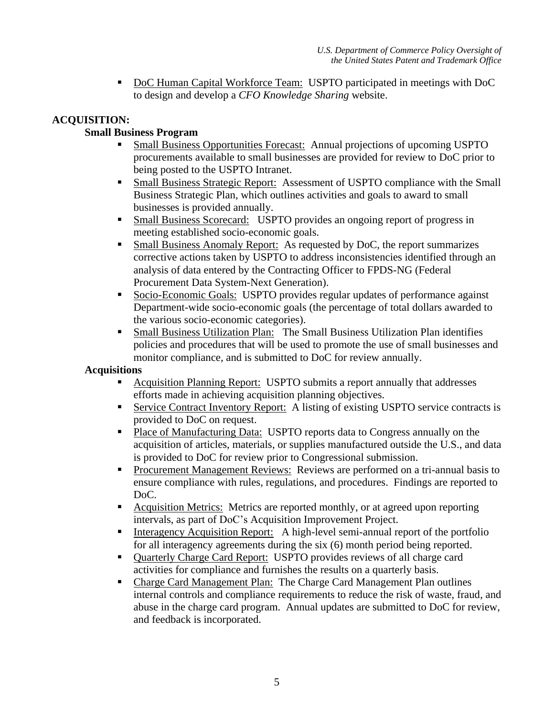■ DoC Human Capital Workforce Team: USPTO participated in meetings with DoC to design and develop a *CFO Knowledge Sharing* website.

## **ACQUISITION:**

## **Small Business Program**

- Small Business Opportunities Forecast:Annual projections of upcoming USPTO procurements available to small businesses are provided for review to DoC prior to being posted to the USPTO Intranet.
- Small Business Strategic Report:Assessment of USPTO compliance with the Small Business Strategic Plan, which outlines activities and goals to award to small businesses is provided annually.
- Small Business Scorecard:USPTO provides an ongoing report of progress in meeting established socio-economic goals.
- Small Business Anomaly Report:As requested by DoC, the report summarizes corrective actions taken by USPTO to address inconsistencies identified through an analysis of data entered by the Contracting Officer to FPDS-NG (Federal Procurement Data System-Next Generation).
- Socio-Economic Goals:USPTO provides regular updates of performance against Department-wide socio-economic goals (the percentage of total dollars awarded to the various socio-economic categories).
- Small Business Utilization Plan:The Small Business Utilization Plan identifies policies and procedures that will be used to promote the use of small businesses and monitor compliance, and is submitted to DoC for review annually.

#### **Acquisitions**

- Acquisition Planning Report:USPTO submits a report annually that addresses efforts made in achieving acquisition planning objectives.
- Service Contract Inventory Report: A listing of existing USPTO service contracts is provided to DoC on request.
- **Place of Manufacturing Data:** USPTO reports data to Congress annually on the acquisition of articles, materials, or supplies manufactured outside the U.S., and data is provided to DoC for review prior to Congressional submission.
- **Procurement Management Reviews: Reviews are performed on a tri-annual basis to** ensure compliance with rules, regulations, and procedures. Findings are reported to DoC.
- Acquisition Metrics:Metrics are reported monthly, or at agreed upon reporting intervals, as part of DoC's Acquisition Improvement Project.
- Interagency Acquisition Report:A high-level semi-annual report of the portfolio for all interagency agreements during the six (6) month period being reported.
- Quarterly Charge Card Report: USPTO provides reviews of all charge card activities for compliance and furnishes the results on a quarterly basis.
- Charge Card Management Plan:The Charge Card Management Plan outlines internal controls and compliance requirements to reduce the risk of waste, fraud, and abuse in the charge card program. Annual updates are submitted to DoC for review, and feedback is incorporated.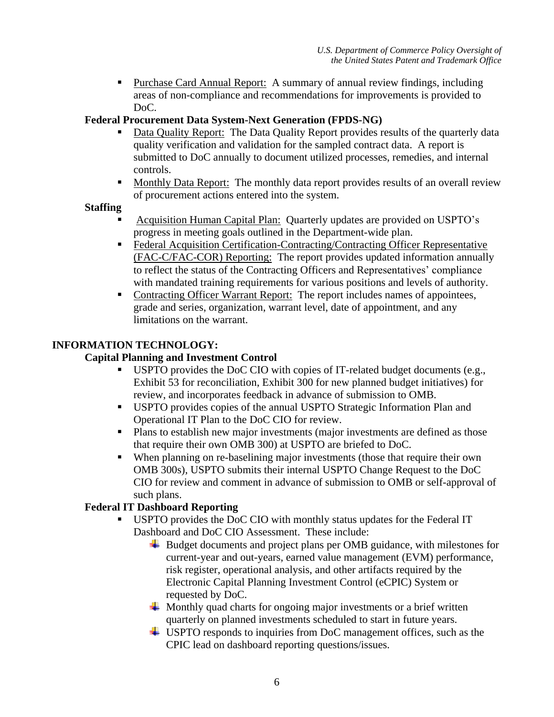Purchase Card Annual Report: A summary of annual review findings, including areas of non-compliance and recommendations for improvements is provided to DoC.

# **Federal Procurement Data System-Next Generation (FPDS-NG)**

- Data Quality Report: The Data Quality Report provides results of the quarterly data quality verification and validation for the sampled contract data. A report is submitted to DoC annually to document utilized processes, remedies, and internal controls.
- Monthly Data Report: The monthly data report provides results of an overall review of procurement actions entered into the system.

## **Staffing**

- Acquisition Human Capital Plan:Quarterly updates are provided on USPTO's progress in meeting goals outlined in the Department-wide plan.
- Federal Acquisition Certification-Contracting/Contracting Officer Representative (FAC-C/FAC-COR) Reporting:The report provides updated information annually to reflect the status of the Contracting Officers and Representatives' compliance with mandated training requirements for various positions and levels of authority.
- Contracting Officer Warrant Report:The report includes names of appointees, grade and series, organization, warrant level, date of appointment, and any limitations on the warrant.

## **INFORMATION TECHNOLOGY:**

## **Capital Planning and Investment Control**

- USPTO provides the DoC CIO with copies of IT-related budget documents (e.g., Exhibit 53 for reconciliation, Exhibit 300 for new planned budget initiatives) for review, and incorporates feedback in advance of submission to OMB.
- USPTO provides copies of the annual USPTO Strategic Information Plan and Operational IT Plan to the DoC CIO for review.
- Plans to establish new major investments (major investments are defined as those that require their own OMB 300) at USPTO are briefed to DoC.
- When planning on re-baselining major investments (those that require their own OMB 300s), USPTO submits their internal USPTO Change Request to the DoC CIO for review and comment in advance of submission to OMB or self-approval of such plans.

## **Federal IT Dashboard Reporting**

- USPTO provides the DoC CIO with monthly status updates for the Federal IT Dashboard and DoC CIO Assessment. These include:
	- ↓ Budget documents and project plans per OMB guidance, with milestones for current-year and out-years, earned value management (EVM) performance, risk register, operational analysis, and other artifacts required by the Electronic Capital Planning Investment Control (eCPIC) System or requested by DoC.
	- $\overline{\phantom{a}}$  Monthly quad charts for ongoing major investments or a brief written quarterly on planned investments scheduled to start in future years.
	- USPTO responds to inquiries from DoC management offices, such as the CPIC lead on dashboard reporting questions/issues.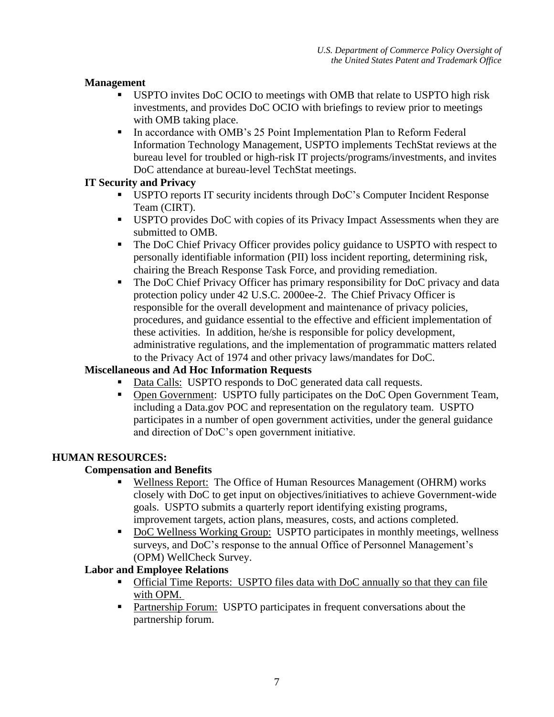## **Management**

- USPTO invites DoC OCIO to meetings with OMB that relate to USPTO high risk investments, and provides DoC OCIO with briefings to review prior to meetings with OMB taking place.
- In accordance with OMB's 25 Point Implementation Plan to Reform Federal Information Technology Management, USPTO implements TechStat reviews at the bureau level for troubled or high-risk IT projects/programs/investments, and invites DoC attendance at bureau-level TechStat meetings.

## **IT Security and Privacy**

- USPTO reports IT security incidents through DoC's Computer Incident Response Team (CIRT).
- USPTO provides DoC with copies of its Privacy Impact Assessments when they are submitted to OMB.
- The DoC Chief Privacy Officer provides policy guidance to USPTO with respect to personally identifiable information (PII) loss incident reporting, determining risk, chairing the Breach Response Task Force, and providing remediation.
- The DoC Chief Privacy Officer has primary responsibility for DoC privacy and data protection policy under 42 U.S.C. 2000ee-2. The Chief Privacy Officer is responsible for the overall development and maintenance of privacy policies, procedures, and guidance essential to the effective and efficient implementation of these activities. In addition, he/she is responsible for policy development, administrative regulations, and the implementation of programmatic matters related to the Privacy Act of 1974 and other privacy laws/mandates for DoC.

## **Miscellaneous and Ad Hoc Information Requests**

- Data Calls: USPTO responds to DoC generated data call requests.
- Open Government: USPTO fully participates on the DoC Open Government Team, including a Data.gov POC and representation on the regulatory team. USPTO participates in a number of open government activities, under the general guidance and direction of DoC's open government initiative.

## **HUMAN RESOURCES:**

## **Compensation and Benefits**

- Wellness Report: The Office of Human Resources Management (OHRM) works closely with DoC to get input on objectives/initiatives to achieve Government-wide goals. USPTO submits a quarterly report identifying existing programs, improvement targets, action plans, measures, costs, and actions completed.
- DoC Wellness Working Group: USPTO participates in monthly meetings, wellness surveys, and DoC's response to the annual Office of Personnel Management's (OPM) WellCheck Survey.

## **Labor and Employee Relations**

- Official Time Reports: USPTO files data with DoC annually so that they can file with OPM.
- **Partnership Forum: USPTO participates in frequent conversations about the** partnership forum.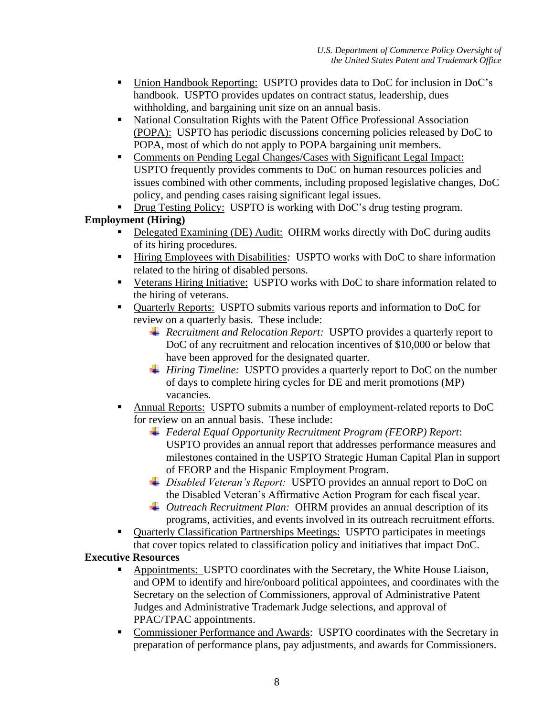- Union Handbook Reporting: USPTO provides data to DoC for inclusion in DoC's handbook. USPTO provides updates on contract status, leadership, dues withholding, and bargaining unit size on an annual basis.
- National Consultation Rights with the Patent Office Professional Association (POPA): USPTO has periodic discussions concerning policies released by DoC to POPA, most of which do not apply to POPA bargaining unit members.
- Comments on Pending Legal Changes/Cases with Significant Legal Impact: USPTO frequently provides comments to DoC on human resources policies and issues combined with other comments, including proposed legislative changes, DoC policy, and pending cases raising significant legal issues.
- **Drug Testing Policy: USPTO is working with DoC's drug testing program.**

# **Employment (Hiring)**

- Delegated Examining (DE) Audit: OHRM works directly with DoC during audits of its hiring procedures.
- Hiring Employees with Disabilities*:* USPTO works with DoC to share information related to the hiring of disabled persons.
- Veterans Hiring Initiative: USPTO works with DoC to share information related to the hiring of veterans.
- **Quarterly Reports:** USPTO submits various reports and information to DoC for review on a quarterly basis. These include:
	- *Recruitment and Relocation Report:* USPTO provides a quarterly report to DoC of any recruitment and relocation incentives of \$10,000 or below that have been approved for the designated quarter.
	- *Hiring Timeline:* USPTO provides a quarterly report to DoC on the number of days to complete hiring cycles for DE and merit promotions (MP) vacancies.
- Annual Reports:USPTO submits a number of employment-related reports to DoC for review on an annual basis. These include:
	- *Federal Equal Opportunity Recruitment Program (FEORP) Report*: USPTO provides an annual report that addresses performance measures and milestones contained in the USPTO Strategic Human Capital Plan in support of FEORP and the Hispanic Employment Program.
	- *Disabled Veteran's Report:* USPTO provides an annual report to DoC on the Disabled Veteran's Affirmative Action Program for each fiscal year.
	- *Outreach Recruitment Plan:* OHRM provides an annual description of its programs, activities, and events involved in its outreach recruitment efforts.
- Quarterly Classification Partnerships Meetings: USPTO participates in meetings that cover topics related to classification policy and initiatives that impact DoC.

# **Executive Resources**

- Appointments: USPTO coordinates with the Secretary, the White House Liaison, and OPM to identify and hire/onboard political appointees, and coordinates with the Secretary on the selection of Commissioners, approval of Administrative Patent Judges and Administrative Trademark Judge selections, and approval of PPAC/TPAC appointments.
- Commissioner Performance and Awards: USPTO coordinates with the Secretary in preparation of performance plans, pay adjustments, and awards for Commissioners.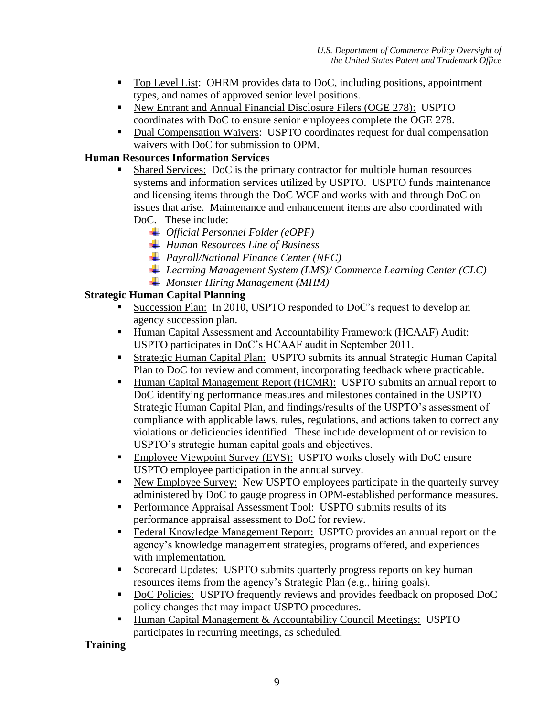- Top Level List: OHRM provides data to DoC, including positions, appointment types, and names of approved senior level positions.
- New Entrant and Annual Financial Disclosure Filers (OGE 278): USPTO coordinates with DoC to ensure senior employees complete the OGE 278.
- Dual Compensation Waivers: USPTO coordinates request for dual compensation waivers with DoC for submission to OPM.

## **Human Resources Information Services**

- Shared Services:DoC is the primary contractor for multiple human resources systems and information services utilized by USPTO. USPTO funds maintenance and licensing items through the DoC WCF and works with and through DoC on issues that arise. Maintenance and enhancement items are also coordinated with DoC. These include:
	- *Official Personnel Folder (eOPF)*
	- *Human Resources Line of Business*
	- *Payroll/National Finance Center (NFC)*
	- *Learning Management System (LMS)/ Commerce Learning Center (CLC)*
	- *Monster Hiring Management (MHM)*

## **Strategic Human Capital Planning**

- Succession Plan:In 2010, USPTO responded to DoC's request to develop an agency succession plan.
- Human Capital Assessment and Accountability Framework (HCAAF) Audit: USPTO participates in DoC's HCAAF audit in September 2011.
- Strategic Human Capital Plan:USPTO submits its annual Strategic Human Capital Plan to DoC for review and comment, incorporating feedback where practicable.
- Human Capital Management Report (HCMR): USPTO submits an annual report to DoC identifying performance measures and milestones contained in the USPTO Strategic Human Capital Plan, and findings/results of the USPTO's assessment of compliance with applicable laws, rules, regulations, and actions taken to correct any violations or deficiencies identified. These include development of or revision to USPTO's strategic human capital goals and objectives.
- Employee Viewpoint Survey (EVS): USPTO works closely with DoC ensure USPTO employee participation in the annual survey.
- New Employee Survey: New USPTO employees participate in the quarterly survey administered by DoC to gauge progress in OPM-established performance measures.
- Performance Appraisal Assessment Tool: USPTO submits results of its performance appraisal assessment to DoC for review.
- Federal Knowledge Management Report: USPTO provides an annual report on the agency's knowledge management strategies, programs offered, and experiences with implementation.
- Scorecard Updates:USPTO submits quarterly progress reports on key human resources items from the agency's Strategic Plan (e.g., hiring goals).
- DoC Policies: USPTO frequently reviews and provides feedback on proposed DoC policy changes that may impact USPTO procedures.
- Human Capital Management & Accountability Council Meetings:USPTO participates in recurring meetings, as scheduled.

## **Training**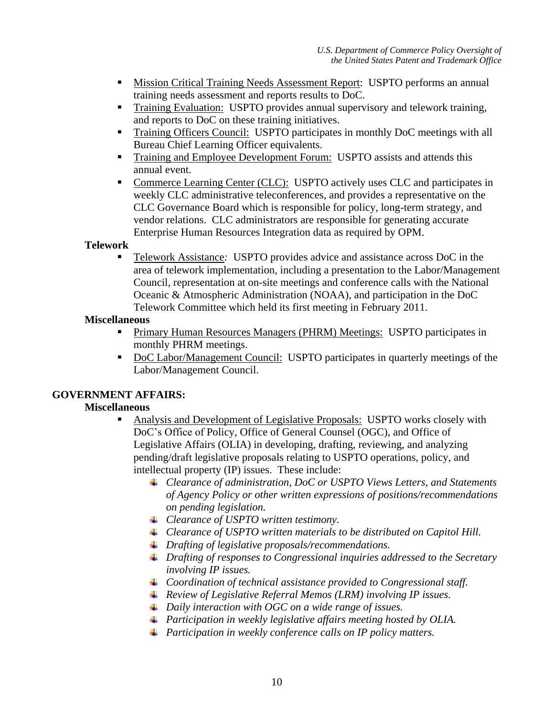- Mission Critical Training Needs Assessment Report: USPTO performs an annual training needs assessment and reports results to DoC.
- **Training Evaluation: USPTO provides annual supervisory and telework training,** and reports to DoC on these training initiatives.
- Training Officers Council: USPTO participates in monthly DoC meetings with all Bureau Chief Learning Officer equivalents.
- **Training and Employee Development Forum: USPTO assists and attends this** annual event.
- Commerce Learning Center (CLC): USPTO actively uses CLC and participates in weekly CLC administrative teleconferences, and provides a representative on the CLC Governance Board which is responsible for policy, long-term strategy, and vendor relations. CLC administrators are responsible for generating accurate Enterprise Human Resources Integration data as required by OPM.

#### **Telework**

 Telework Assistance*:* USPTO provides advice and assistance across DoC in the area of telework implementation, including a presentation to the Labor/Management Council, representation at on-site meetings and conference calls with the National Oceanic & Atmospheric Administration (NOAA), and participation in the DoC Telework Committee which held its first meeting in February 2011.

#### **Miscellaneous**

- Primary Human Resources Managers (PHRM) Meetings:USPTO participates in monthly PHRM meetings.
- DoC Labor/Management Council: USPTO participates in quarterly meetings of the Labor/Management Council.

## **GOVERNMENT AFFAIRS:**

## **Miscellaneous**

- Analysis and Development of Legislative Proposals: USPTO works closely with DoC's Office of Policy, Office of General Counsel (OGC), and Office of Legislative Affairs (OLIA) in developing, drafting, reviewing, and analyzing pending/draft legislative proposals relating to USPTO operations, policy, and intellectual property (IP) issues. These include:
	- *Clearance of administration, DoC or USPTO Views Letters, and Statements of Agency Policy or other written expressions of positions/recommendations on pending legislation.*
	- *Clearance of USPTO written testimony.*
	- *Clearance of USPTO written materials to be distributed on Capitol Hill.*
	- *Drafting of legislative proposals/recommendations.*
	- *Drafting of responses to Congressional inquiries addressed to the Secretary involving IP issues.*
	- *Coordination of technical assistance provided to Congressional staff.*
	- *Review of Legislative Referral Memos (LRM) involving IP issues.*
	- *Daily interaction with OGC on a wide range of issues.*
	- *Participation in weekly legislative affairs meeting hosted by OLIA.*
	- *Participation in weekly conference calls on IP policy matters.*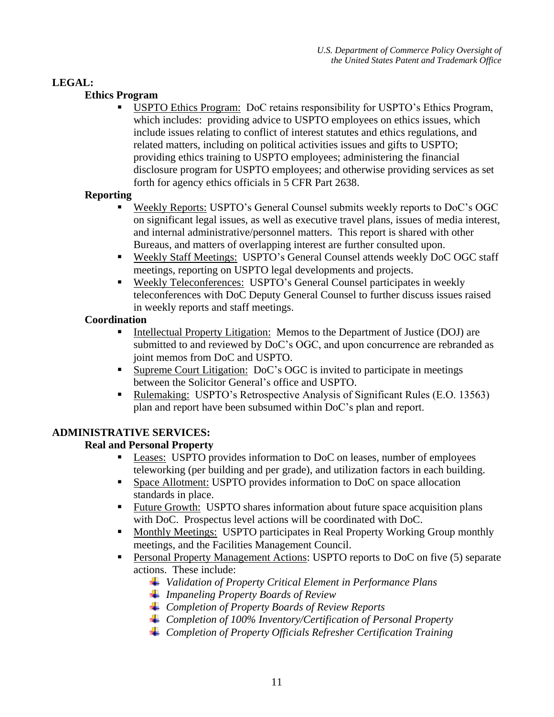## **LEGAL:**

## **Ethics Program**

 USPTO Ethics Program: DoC retains responsibility for USPTO's Ethics Program, which includes: providing advice to USPTO employees on ethics issues, which include issues relating to conflict of interest statutes and ethics regulations, and related matters, including on political activities issues and gifts to USPTO; providing ethics training to USPTO employees; administering the financial disclosure program for USPTO employees; and otherwise providing services as set forth for agency ethics officials in 5 CFR Part 2638.

#### **Reporting**

- Weekly Reports: USPTO's General Counsel submits weekly reports to DoC's OGC on significant legal issues, as well as executive travel plans, issues of media interest, and internal administrative/personnel matters. This report is shared with other Bureaus, and matters of overlapping interest are further consulted upon.
- Weekly Staff Meetings: USPTO's General Counsel attends weekly DoC OGC staff meetings, reporting on USPTO legal developments and projects.
- Weekly Teleconferences: USPTO's General Counsel participates in weekly teleconferences with DoC Deputy General Counsel to further discuss issues raised in weekly reports and staff meetings.

#### **Coordination**

- Intellectual Property Litigation: Memos to the Department of Justice (DOJ) are submitted to and reviewed by DoC's OGC, and upon concurrence are rebranded as joint memos from DoC and USPTO.
- Supreme Court Litigation: DoC's OGC is invited to participate in meetings between the Solicitor General's office and USPTO.
- Rulemaking: USPTO's Retrospective Analysis of Significant Rules (E.O. 13563) plan and report have been subsumed within DoC's plan and report.

## **ADMINISTRATIVE SERVICES:**

## **Real and Personal Property**

- Leases:USPTO provides information to DoC on leases, number of employees teleworking (per building and per grade), and utilization factors in each building.
- Space Allotment: USPTO provides information to DoC on space allocation standards in place.
- Future Growth: USPTO shares information about future space acquisition plans with DoC. Prospectus level actions will be coordinated with DoC.
- Monthly Meetings: USPTO participates in Real Property Working Group monthly meetings, and the Facilities Management Council.
- Personal Property Management Actions: USPTO reports to DoC on five (5) separate actions. These include:
	- *Validation of Property Critical Element in Performance Plans*
	- *Impaneling Property Boards of Review*
	- *Completion of Property Boards of Review Reports*
	- *Completion of 100% Inventory/Certification of Personal Property*
	- *Completion of Property Officials Refresher Certification Training*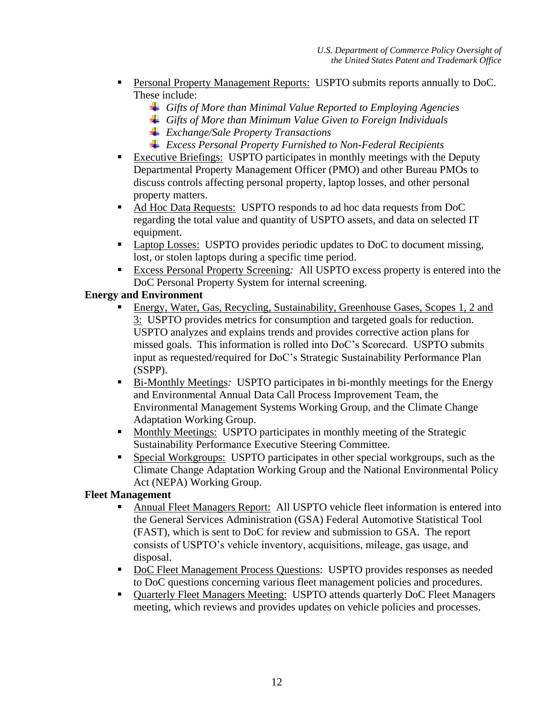- Personal Property Management Reports: USPTO submits reports annually to DoC. These include:
	- *Gifts of More than Minimal Value Reported to Employing Agencies*
	- *Gifts of More than Minimum Value Given to Foreign Individuals*
	- *Exchange/Sale Property Transactions*
	- *Excess Personal Property Furnished to Non-Federal Recipients*
- Executive Briefings: USPTO participates in monthly meetings with the Deputy Departmental Property Management Officer (PMO) and other Bureau PMOs to discuss controls affecting personal property, laptop losses, and other personal property matters.
- Ad Hoc Data Requests: USPTO responds to ad hoc data requests from DoC regarding the total value and quantity of USPTO assets, and data on selected IT equipment.
- Laptop Losses: USPTO provides periodic updates to DoC to document missing, lost, or stolen laptops during a specific time period.
- Excess Personal Property Screening*:* All USPTO excess property is entered into the DoC Personal Property System for internal screening.

# **Energy and Environment**

- Energy, Water, Gas, Recycling, Sustainability, Greenhouse Gases, Scopes 1, 2 and 3:USPTO provides metrics for consumption and targeted goals for reduction. USPTO analyzes and explains trends and provides corrective action plans for missed goals. This information is rolled into DoC's Scorecard. USPTO submits input as requested/required for DoC's Strategic Sustainability Performance Plan (SSPP).
- Bi-Monthly Meetings*:* USPTO participates in bi-monthly meetings for the Energy and Environmental Annual Data Call Process Improvement Team, the Environmental Management Systems Working Group, and the Climate Change Adaptation Working Group.
- **Monthly Meetings:** USPTO participates in monthly meeting of the Strategic Sustainability Performance Executive Steering Committee.
- Special Workgroups:USPTO participates in other special workgroups, such as the Climate Change Adaptation Working Group and the National Environmental Policy Act (NEPA) Working Group.

## **Fleet Management**

- Annual Fleet Managers Report: All USPTO vehicle fleet information is entered into the General Services Administration (GSA) Federal Automotive Statistical Tool (FAST), which is sent to DoC for review and submission to GSA. The report consists of USPTO's vehicle inventory, acquisitions, mileage, gas usage, and disposal.
- DoC Fleet Management Process Questions: USPTO provides responses as needed to DoC questions concerning various fleet management policies and procedures.
- Quarterly Fleet Managers Meeting: USPTO attends quarterly DoC Fleet Managers meeting, which reviews and provides updates on vehicle policies and processes.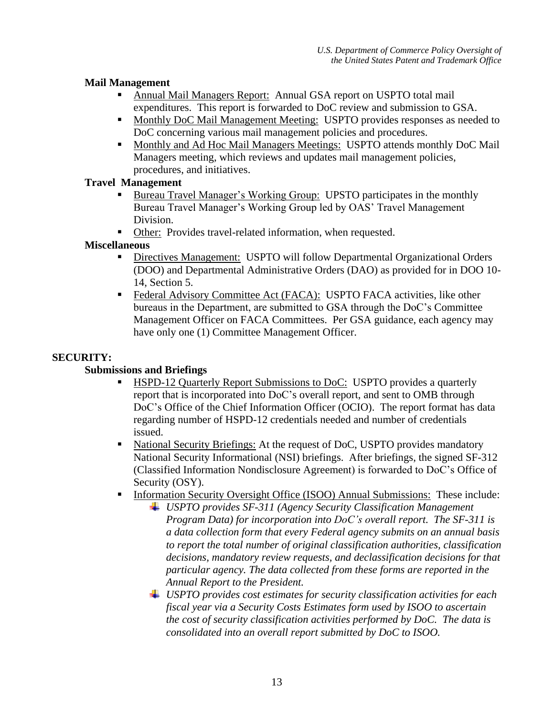## **Mail Management**

- Annual Mail Managers Report: Annual GSA report on USPTO total mail expenditures. This report is forwarded to DoC review and submission to GSA.
- **Monthly DoC Mail Management Meeting: USPTO provides responses as needed to** DoC concerning various mail management policies and procedures.
- Monthly and Ad Hoc Mail Managers Meetings: USPTO attends monthly DoC Mail Managers meeting, which reviews and updates mail management policies, procedures, and initiatives.

## **Travel Management**

- Bureau Travel Manager's Working Group: UPSTO participates in the monthly Bureau Travel Manager's Working Group led by OAS' Travel Management Division.
- Other: Provides travel-related information, when requested.

## **Miscellaneous**

- Directives Management: USPTO will follow Departmental Organizational Orders (DOO) and Departmental Administrative Orders (DAO) as provided for in DOO 10- 14, Section 5.
- **Federal Advisory Committee Act (FACA): USPTO FACA activities, like other** bureaus in the Department, are submitted to GSA through the DoC's Committee Management Officer on FACA Committees. Per GSA guidance, each agency may have only one (1) Committee Management Officer.

## **SECURITY:**

# **Submissions and Briefings**

- HSPD-12 Quarterly Report Submissions to DoC:USPTO provides a quarterly report that is incorporated into DoC's overall report, and sent to OMB through DoC's Office of the Chief Information Officer (OCIO). The report format has data regarding number of HSPD-12 credentials needed and number of credentials issued.
- National Security Briefings: At the request of DoC, USPTO provides mandatory National Security Informational (NSI) briefings. After briefings, the signed SF-312 (Classified Information Nondisclosure Agreement) is forwarded to DoC's Office of Security (OSY).
- Information Security Oversight Office (ISOO) Annual Submissions: These include:
	- *USPTO provides SF-311 (Agency Security Classification Management Program Data) for incorporation into DoC's overall report. The SF-311 is a data collection form that every Federal agency submits on an annual basis to report the total number of original classification authorities, classification decisions, mandatory review requests, and declassification decisions for that particular agency. The data collected from these forms are reported in the [Annual Report to the President.](http://www.archives.gov/isoo/reports/index.html)*
	- *USPTO provides cost estimates for security classification activities for each fiscal year via a Security Costs Estimates form used by ISOO to ascertain the cost of security classification activities performed by DoC. The data is consolidated into an overall report submitted by DoC to ISOO.*